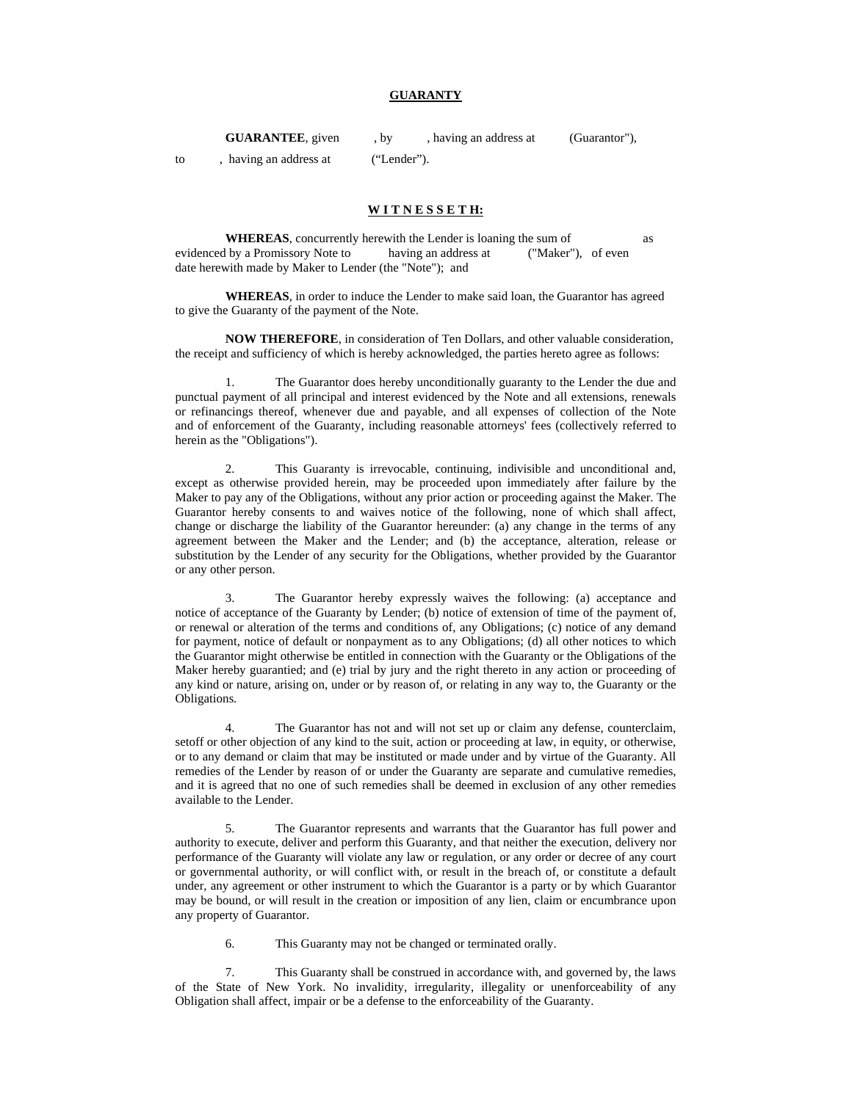## **GUARANTY**

**GUARANTEE**, given, by, having an address at (Guarantor"),

to , having an address at ("Lender").

**W I T N E S S E T H:**

**WHEREAS**, concurrently herewith the Lender is loaning the sum of as evidenced by a Promissory Note to having an address at ("Maker"), of even date herewith made by Maker to Lender (the "Note"); and

**WHEREAS**, in order to induce the Lender to make said loan, the Guarantor has agreed to give the Guaranty of the payment of the Note.

**NOW THEREFORE**, in consideration of Ten Dollars, and other valuable consideration, the receipt and sufficiency of which is hereby acknowledged, the parties hereto agree as follows:

1. The Guarantor does hereby unconditionally guaranty to the Lender the due and punctual payment of all principal and interest evidenced by the Note and all extensions, renewals or refinancings thereof, whenever due and payable, and all expenses of collection of the Note and of enforcement of the Guaranty, including reasonable attorneys' fees (collectively referred to herein as the "Obligations").

2. This Guaranty is irrevocable, continuing, indivisible and unconditional and, except as otherwise provided herein, may be proceeded upon immediately after failure by the Maker to pay any of the Obligations, without any prior action or proceeding against the Maker. The Guarantor hereby consents to and waives notice of the following, none of which shall affect, change or discharge the liability of the Guarantor hereunder: (a) any change in the terms of any agreement between the Maker and the Lender; and (b) the acceptance, alteration, release or substitution by the Lender of any security for the Obligations, whether provided by the Guarantor or any other person.

3. The Guarantor hereby expressly waives the following: (a) acceptance and notice of acceptance of the Guaranty by Lender; (b) notice of extension of time of the payment of, or renewal or alteration of the terms and conditions of, any Obligations; (c) notice of any demand for payment, notice of default or nonpayment as to any Obligations; (d) all other notices to which the Guarantor might otherwise be entitled in connection with the Guaranty or the Obligations of the Maker hereby guarantied; and (e) trial by jury and the right thereto in any action or proceeding of any kind or nature, arising on, under or by reason of, or relating in any way to, the Guaranty or the Obligations.

4. The Guarantor has not and will not set up or claim any defense, counterclaim, setoff or other objection of any kind to the suit, action or proceeding at law, in equity, or otherwise, or to any demand or claim that may be instituted or made under and by virtue of the Guaranty. All remedies of the Lender by reason of or under the Guaranty are separate and cumulative remedies, and it is agreed that no one of such remedies shall be deemed in exclusion of any other remedies available to the Lender.

5. The Guarantor represents and warrants that the Guarantor has full power and authority to execute, deliver and perform this Guaranty, and that neither the execution, delivery nor performance of the Guaranty will violate any law or regulation, or any order or decree of any court or governmental authority, or will conflict with, or result in the breach of, or constitute a default under, any agreement or other instrument to which the Guarantor is a party or by which Guarantor may be bound, or will result in the creation or imposition of any lien, claim or encumbrance upon any property of Guarantor.

6. This Guaranty may not be changed or terminated orally.

7. This Guaranty shall be construed in accordance with, and governed by, the laws of the State of New York. No invalidity, irregularity, illegality or unenforceability of any Obligation shall affect, impair or be a defense to the enforceability of the Guaranty.